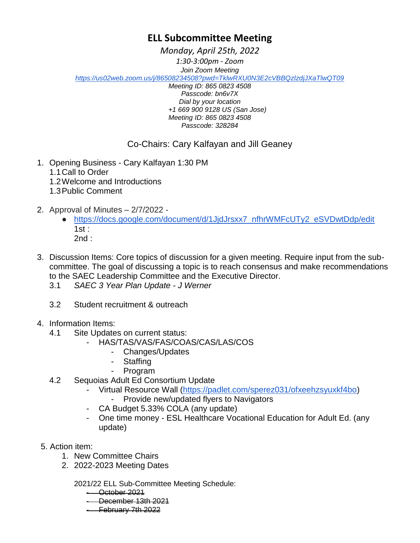## **ELL Subcommittee Meeting**

*Monday, April 25th, 2022*

*1:30-3:00pm - Zoom Join Zoom Meeting <https://us02web.zoom.us/j/86508234508?pwd=TklwRXU0N3E2cVBBQzlzdjJXaTlwQT09>*

*Meeting ID: 865 0823 4508 Passcode: bn6v7X Dial by your location +1 669 900 9128 US (San Jose) Meeting ID: 865 0823 4508 Passcode: 328284*

## Co-Chairs: Cary Kalfayan and Jill Geaney

- 1. Opening Business Cary Kalfayan 1:30 PM
	- 1.1Call to Order
	- 1.2Welcome and Introductions
	- 1.3Public Comment
- 2. Approval of Minutes 2/7/2022
	- [https://docs.google.com/document/d/1JjdJrsxx7\\_nfhrWMFcUTy2\\_eSVDwtDdp/edit](https://docs.google.com/document/d/1JjdJrsxx7_nfhrWMFcUTy2_eSVDwtDdp/edit)   $1$ st : 2nd :
- 3. Discussion Items: Core topics of discussion for a given meeting. Require input from the subcommittee. The goal of discussing a topic is to reach consensus and make recommendations to the SAEC Leadership Committee and the Executive Director.
	- 3.1 *SAEC 3 Year Plan Update - J Werner*
	- 3.2 Student recruitment & outreach
- 4. Information Items:
	- 4.1 Site Updates on current status:
		- HAS/TAS/VAS/FAS/COAS/CAS/LAS/COS
			- Changes/Updates
			- **Staffing**
			- **Program**
	- 4.2 Sequoias Adult Ed Consortium Update
		- Virtual Resource Wall [\(https://padlet.com/sperez031/ofxeehzsyuxkf4bo\)](https://padlet.com/sperez031/ofxeehzsyuxkf4bo)
			- Provide new/updated flyers to Navigators
		- CA Budget 5.33% COLA (any update)
		- One time money ESL Healthcare Vocational Education for Adult Ed. (any update)
- 5. Action item:
	- 1. New Committee Chairs
	- 2. 2022-2023 Meeting Dates

2021/22 ELL Sub-Committee Meeting Schedule:

- October 2021
- December 13th 2021
- February 7th 2022